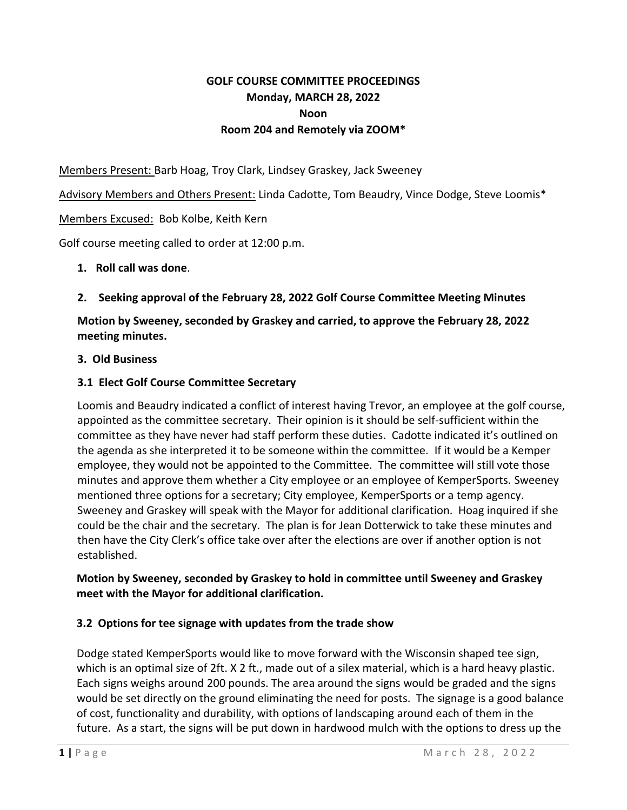# **GOLF COURSE COMMITTEE PROCEEDINGS Monday, MARCH 28, 2022 Noon Room 204 and Remotely via ZOOM\***

Members Present: Barb Hoag, Troy Clark, Lindsey Graskey, Jack Sweeney

Advisory Members and Others Present: Linda Cadotte, Tom Beaudry, Vince Dodge, Steve Loomis\*

### Members Excused: Bob Kolbe, Keith Kern

Golf course meeting called to order at 12:00 p.m.

#### **1. Roll call was done**.

#### **2. Seeking approval of the February 28, 2022 Golf Course Committee Meeting Minutes**

**Motion by Sweeney, seconded by Graskey and carried, to approve the February 28, 2022 meeting minutes.**

#### **3. Old Business**

#### **3.1 Elect Golf Course Committee Secretary**

Loomis and Beaudry indicated a conflict of interest having Trevor, an employee at the golf course, appointed as the committee secretary. Their opinion is it should be self-sufficient within the committee as they have never had staff perform these duties. Cadotte indicated it's outlined on the agenda as she interpreted it to be someone within the committee. If it would be a Kemper employee, they would not be appointed to the Committee. The committee will still vote those minutes and approve them whether a City employee or an employee of KemperSports. Sweeney mentioned three options for a secretary; City employee, KemperSports or a temp agency. Sweeney and Graskey will speak with the Mayor for additional clarification. Hoag inquired if she could be the chair and the secretary. The plan is for Jean Dotterwick to take these minutes and then have the City Clerk's office take over after the elections are over if another option is not established.

### **Motion by Sweeney, seconded by Graskey to hold in committee until Sweeney and Graskey meet with the Mayor for additional clarification.**

### **3.2 Options for tee signage with updates from the trade show**

Dodge stated KemperSports would like to move forward with the Wisconsin shaped tee sign, which is an optimal size of 2ft. X 2 ft., made out of a silex material, which is a hard heavy plastic. Each signs weighs around 200 pounds. The area around the signs would be graded and the signs would be set directly on the ground eliminating the need for posts. The signage is a good balance of cost, functionality and durability, with options of landscaping around each of them in the future. As a start, the signs will be put down in hardwood mulch with the options to dress up the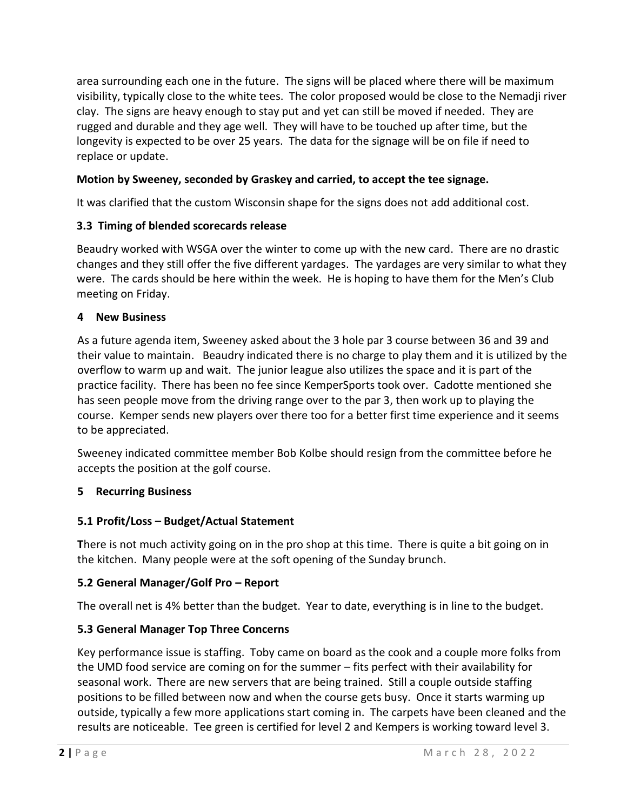area surrounding each one in the future. The signs will be placed where there will be maximum visibility, typically close to the white tees. The color proposed would be close to the Nemadji river clay. The signs are heavy enough to stay put and yet can still be moved if needed. They are rugged and durable and they age well. They will have to be touched up after time, but the longevity is expected to be over 25 years. The data for the signage will be on file if need to replace or update.

## **Motion by Sweeney, seconded by Graskey and carried, to accept the tee signage.**

It was clarified that the custom Wisconsin shape for the signs does not add additional cost.

### **3.3 Timing of blended scorecards release**

Beaudry worked with WSGA over the winter to come up with the new card. There are no drastic changes and they still offer the five different yardages. The yardages are very similar to what they were. The cards should be here within the week. He is hoping to have them for the Men's Club meeting on Friday.

### **4 New Business**

As a future agenda item, Sweeney asked about the 3 hole par 3 course between 36 and 39 and their value to maintain. Beaudry indicated there is no charge to play them and it is utilized by the overflow to warm up and wait. The junior league also utilizes the space and it is part of the practice facility. There has been no fee since KemperSports took over. Cadotte mentioned she has seen people move from the driving range over to the par 3, then work up to playing the course. Kemper sends new players over there too for a better first time experience and it seems to be appreciated.

Sweeney indicated committee member Bob Kolbe should resign from the committee before he accepts the position at the golf course.

## **5 Recurring Business**

## **5.1 Profit/Loss – Budget/Actual Statement**

**T**here is not much activity going on in the pro shop at this time. There is quite a bit going on in the kitchen. Many people were at the soft opening of the Sunday brunch.

### **5.2 General Manager/Golf Pro – Report**

The overall net is 4% better than the budget. Year to date, everything is in line to the budget.

## **5.3 General Manager Top Three Concerns**

Key performance issue is staffing. Toby came on board as the cook and a couple more folks from the UMD food service are coming on for the summer – fits perfect with their availability for seasonal work. There are new servers that are being trained. Still a couple outside staffing positions to be filled between now and when the course gets busy. Once it starts warming up outside, typically a few more applications start coming in. The carpets have been cleaned and the results are noticeable. Tee green is certified for level 2 and Kempers is working toward level 3.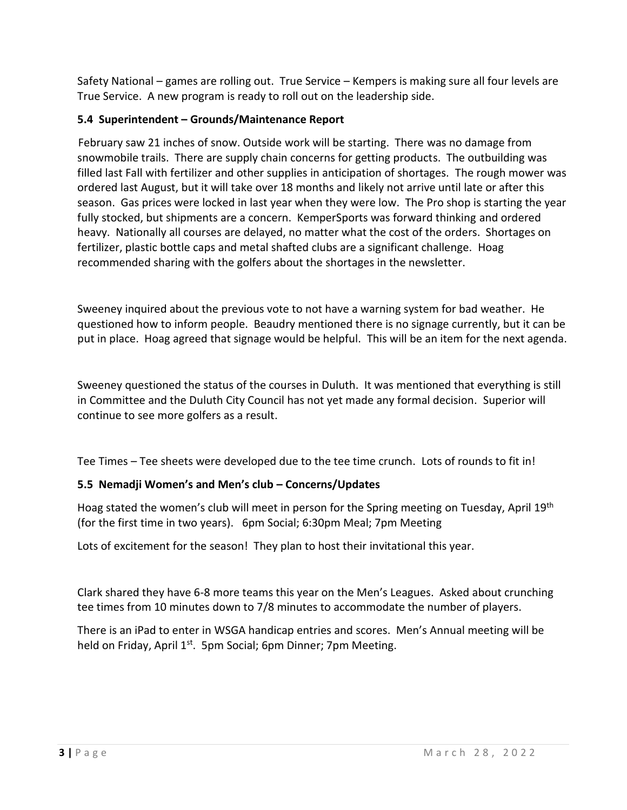Safety National – games are rolling out. True Service – Kempers is making sure all four levels are True Service. A new program is ready to roll out on the leadership side.

# **5.4 Superintendent – Grounds/Maintenance Report**

February saw 21 inches of snow. Outside work will be starting. There was no damage from snowmobile trails. There are supply chain concerns for getting products. The outbuilding was filled last Fall with fertilizer and other supplies in anticipation of shortages. The rough mower was ordered last August, but it will take over 18 months and likely not arrive until late or after this season. Gas prices were locked in last year when they were low. The Pro shop is starting the year fully stocked, but shipments are a concern. KemperSports was forward thinking and ordered heavy. Nationally all courses are delayed, no matter what the cost of the orders. Shortages on fertilizer, plastic bottle caps and metal shafted clubs are a significant challenge. Hoag recommended sharing with the golfers about the shortages in the newsletter.

Sweeney inquired about the previous vote to not have a warning system for bad weather. He questioned how to inform people. Beaudry mentioned there is no signage currently, but it can be put in place. Hoag agreed that signage would be helpful. This will be an item for the next agenda.

Sweeney questioned the status of the courses in Duluth. It was mentioned that everything is still in Committee and the Duluth City Council has not yet made any formal decision. Superior will continue to see more golfers as a result.

Tee Times – Tee sheets were developed due to the tee time crunch. Lots of rounds to fit in!

# **5.5 Nemadji Women's and Men's club – Concerns/Updates**

Hoag stated the women's club will meet in person for the Spring meeting on Tuesday, April 19<sup>th</sup> (for the first time in two years). 6pm Social; 6:30pm Meal; 7pm Meeting

Lots of excitement for the season! They plan to host their invitational this year.

Clark shared they have 6-8 more teams this year on the Men's Leagues. Asked about crunching tee times from 10 minutes down to 7/8 minutes to accommodate the number of players.

There is an iPad to enter in WSGA handicap entries and scores. Men's Annual meeting will be held on Friday, April 1<sup>st</sup>. 5pm Social; 6pm Dinner; 7pm Meeting.